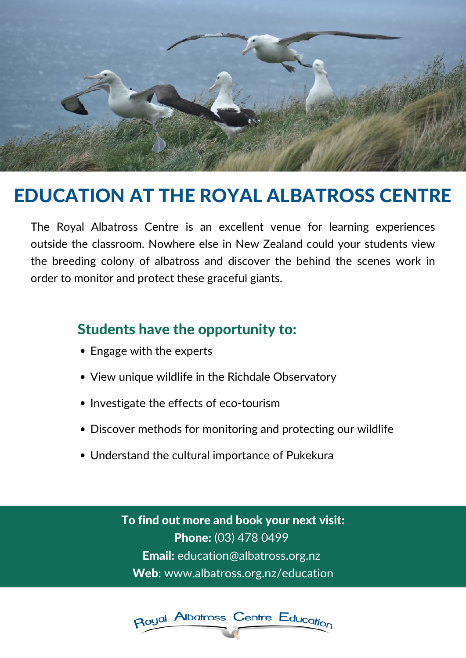

## EDUCATION AT THE ROYAL ALBATROSS CENTRE

The Royal Albatross Centre is an excellent venue for learning experiences outside the classroom. Nowhere else in New Zealand could your students view the breeding colony of albatross and discover the behind the scenes work in order to monitor and protect these graceful giants.

- Engage with the experts
- View unique wildlife in the Richdale Observatory
- Investigate the effects of eco-tourism
- Discover methods for monitoring and protecting our wildlife
- Understand the cultural importance of Pukekura

To find out more and book your next visit: Phone: (03) 478 0499 Email: education@albatross.org.nz Web: www.albatross.org.nz/education



### Students have the opportunity to: